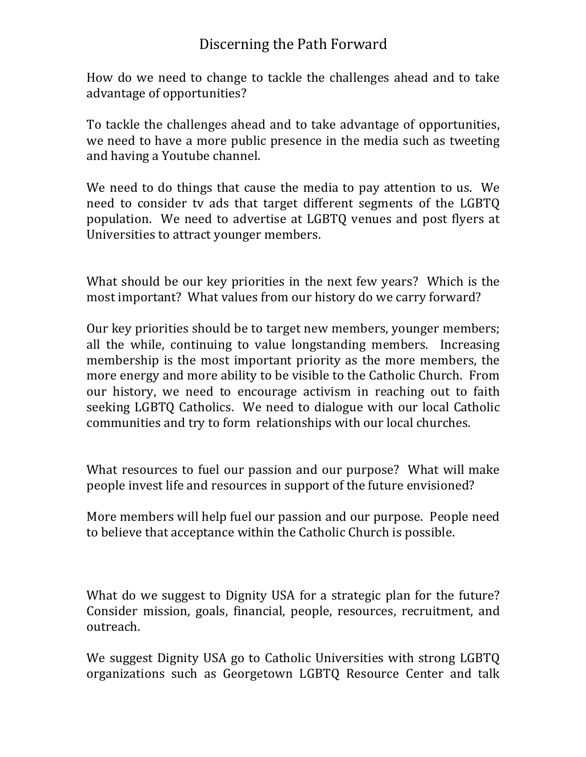## Discerning the Path Forward

How do we need to change to tackle the challenges ahead and to take advantage of opportunities?

To tackle the challenges ahead and to take advantage of opportunities, we need to have a more public presence in the media such as tweeting and having a Youtube channel.

We need to do things that cause the media to pay attention to us. We need to consider tv ads that target different segments of the LGBTQ population. We need to advertise at LGBTQ venues and post flyers at Universities to attract younger members.

What should be our key priorities in the next few years? Which is the most important? What values from our history do we carry forward?

Our key priorities should be to target new members, younger members; all the while, continuing to value longstanding members. Increasing membership is the most important priority as the more members, the more energy and more ability to be visible to the Catholic Church. From our history, we need to encourage activism in reaching out to faith seeking LGBTQ Catholics. We need to dialogue with our local Catholic communities and try to form relationships with our local churches.

What resources to fuel our passion and our purpose? What will make people invest life and resources in support of the future envisioned?

More members will help fuel our passion and our purpose. People need to believe that acceptance within the Catholic Church is possible.

What do we suggest to Dignity USA for a strategic plan for the future? Consider mission, goals, financial, people, resources, recruitment, and outreach.

We suggest Dignity USA go to Catholic Universities with strong LGBTQ organizations such as Georgetown LGBTQ Resource Center and talk